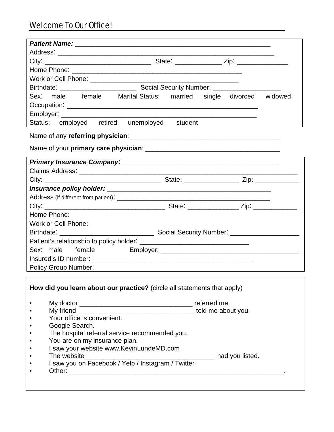| Sex: male female Marital Status: married single divorced widowed                                               |
|----------------------------------------------------------------------------------------------------------------|
|                                                                                                                |
|                                                                                                                |
| Status: employed retired unemployed student                                                                    |
|                                                                                                                |
|                                                                                                                |
|                                                                                                                |
| Primary Insurance Company: Manual Company and Company and Company and Company and Company and Company and Comp |
|                                                                                                                |
|                                                                                                                |
|                                                                                                                |
|                                                                                                                |
|                                                                                                                |
|                                                                                                                |
|                                                                                                                |
|                                                                                                                |
|                                                                                                                |
| Sex: male female                                                                                               |
|                                                                                                                |
|                                                                                                                |
| <b>Policy Group Number:</b><br><u> 1989 - Andrea Andrew Maria (h. 1989).</u>                                   |
|                                                                                                                |
| How did you learn about our practice? (circle all statements that apply)                                       |
|                                                                                                                |
|                                                                                                                |
| Your office is convenient.                                                                                     |
| Google Search.                                                                                                 |
| The hospital referral service recommended you.                                                                 |
| You are on my insurance plan.                                                                                  |
| I saw your website www.KevinLundeMD.com                                                                        |
|                                                                                                                |
| I saw you on Facebook / Yelp / Instagram / Twitter                                                             |
|                                                                                                                |
|                                                                                                                |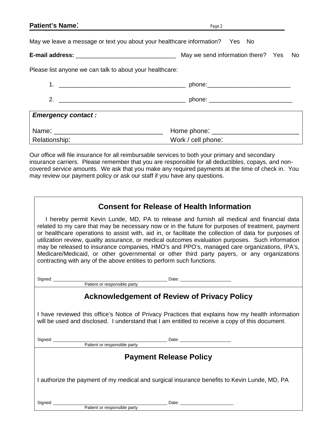| <b>Patient's Name:</b>                                   | Page 2                                                                       |  |
|----------------------------------------------------------|------------------------------------------------------------------------------|--|
|                                                          | May we leave a message or text you about your healthcare information? Yes No |  |
|                                                          |                                                                              |  |
| Please list anyone we can talk to about your healthcare: |                                                                              |  |
|                                                          |                                                                              |  |
|                                                          |                                                                              |  |
| <b>Emergency contact:</b>                                |                                                                              |  |
|                                                          |                                                                              |  |
| Relationship:                                            | Work / cell phone:                                                           |  |

Our office will file insurance for all reimbursable services to both your primary and secondary insurance carriers. Please remember that you are responsible for all deductibles, copays, and noncovered service amounts. We ask that you make any required payments at the time of check in. You may review our payment policy or ask our staff if you have any questions.